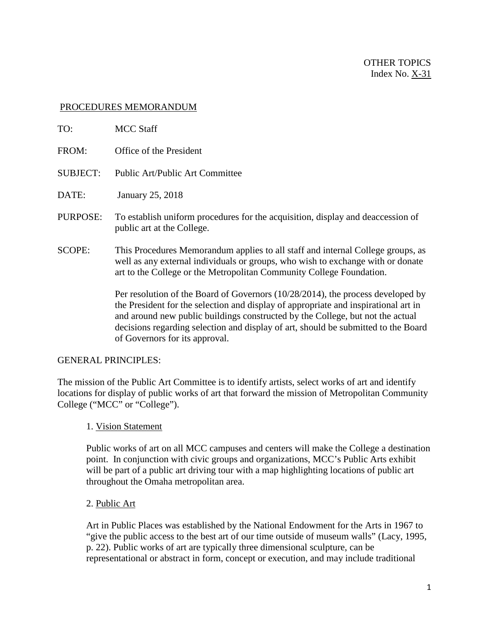#### PROCEDURES MEMORANDUM

| TO:             | <b>MCC Staff</b>                                                                                                                                                                                                                                            |
|-----------------|-------------------------------------------------------------------------------------------------------------------------------------------------------------------------------------------------------------------------------------------------------------|
| FROM:           | Office of the President                                                                                                                                                                                                                                     |
| <b>SUBJECT:</b> | Public Art/Public Art Committee                                                                                                                                                                                                                             |
| DATE:           | January 25, 2018                                                                                                                                                                                                                                            |
| PURPOSE:        | To establish uniform procedures for the acquisition, display and deaccession of<br>public art at the College.                                                                                                                                               |
| <b>SCOPE:</b>   | This Procedures Memorandum applies to all staff and internal College groups, as<br>well as any external individuals or groups, who wish to exchange with or donate<br>art to the College or the Metropolitan Community College Foundation.                  |
|                 | Per resolution of the Board of Governors $(10/28/2014)$ , the process developed by<br>the President for the selection and display of appropriate and inspirational art in<br>and around new public buildings constructed by the College, but not the actual |

#### GENERAL PRINCIPLES:

The mission of the Public Art Committee is to identify artists, select works of art and identify locations for display of public works of art that forward the mission of Metropolitan Community College ("MCC" or "College").

## 1. Vision Statement

of Governors for its approval.

Public works of art on all MCC campuses and centers will make the College a destination point. In conjunction with civic groups and organizations, MCC's Public Arts exhibit will be part of a public art driving tour with a map highlighting locations of public art throughout the Omaha metropolitan area.

decisions regarding selection and display of art, should be submitted to the Board

#### 2. Public Art

Art in Public Places was established by the National Endowment for the Arts in 1967 to "give the public access to the best art of our time outside of museum walls" (Lacy, 1995, p. 22). Public works of art are typically three dimensional sculpture, can be representational or abstract in form, concept or execution, and may include traditional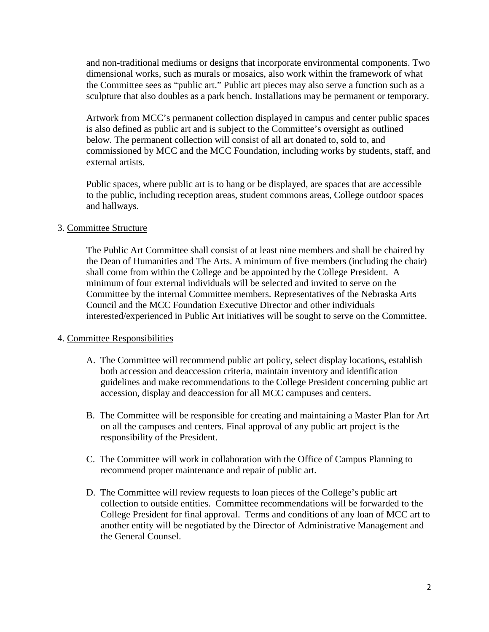and non-traditional mediums or designs that incorporate environmental components. Two dimensional works, such as murals or mosaics, also work within the framework of what the Committee sees as "public art." Public art pieces may also serve a function such as a sculpture that also doubles as a park bench. Installations may be permanent or temporary.

Artwork from MCC's permanent collection displayed in campus and center public spaces is also defined as public art and is subject to the Committee's oversight as outlined below. The permanent collection will consist of all art donated to, sold to, and commissioned by MCC and the MCC Foundation, including works by students, staff, and external artists.

Public spaces, where public art is to hang or be displayed, are spaces that are accessible to the public, including reception areas, student commons areas, College outdoor spaces and hallways.

## 3. Committee Structure

The Public Art Committee shall consist of at least nine members and shall be chaired by the Dean of Humanities and The Arts. A minimum of five members (including the chair) shall come from within the College and be appointed by the College President. A minimum of four external individuals will be selected and invited to serve on the Committee by the internal Committee members. Representatives of the Nebraska Arts Council and the MCC Foundation Executive Director and other individuals interested/experienced in Public Art initiatives will be sought to serve on the Committee.

## 4. Committee Responsibilities

- A. The Committee will recommend public art policy, select display locations, establish both accession and deaccession criteria, maintain inventory and identification guidelines and make recommendations to the College President concerning public art accession, display and deaccession for all MCC campuses and centers.
- B. The Committee will be responsible for creating and maintaining a Master Plan for Art on all the campuses and centers. Final approval of any public art project is the responsibility of the President.
- C. The Committee will work in collaboration with the Office of Campus Planning to recommend proper maintenance and repair of public art.
- D. The Committee will review requests to loan pieces of the College's public art collection to outside entities. Committee recommendations will be forwarded to the College President for final approval. Terms and conditions of any loan of MCC art to another entity will be negotiated by the Director of Administrative Management and the General Counsel.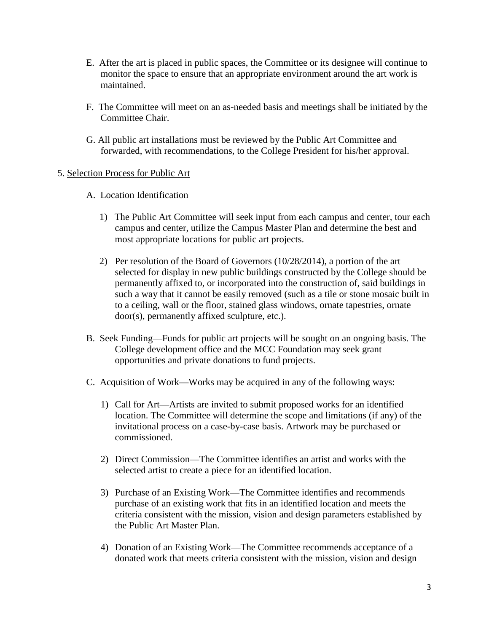- E. After the art is placed in public spaces, the Committee or its designee will continue to monitor the space to ensure that an appropriate environment around the art work is maintained.
- F. The Committee will meet on an as-needed basis and meetings shall be initiated by the Committee Chair.
- G. All public art installations must be reviewed by the Public Art Committee and forwarded, with recommendations, to the College President for his/her approval.

## 5. Selection Process for Public Art

- A. Location Identification
	- 1) The Public Art Committee will seek input from each campus and center, tour each campus and center, utilize the Campus Master Plan and determine the best and most appropriate locations for public art projects.
	- 2) Per resolution of the Board of Governors (10/28/2014), a portion of the art selected for display in new public buildings constructed by the College should be permanently affixed to, or incorporated into the construction of, said buildings in such a way that it cannot be easily removed (such as a tile or stone mosaic built in to a ceiling, wall or the floor, stained glass windows, ornate tapestries, ornate door(s), permanently affixed sculpture, etc.).
- B. Seek Funding—Funds for public art projects will be sought on an ongoing basis. The College development office and the MCC Foundation may seek grant opportunities and private donations to fund projects.
- C. Acquisition of Work—Works may be acquired in any of the following ways:
	- 1) Call for Art—Artists are invited to submit proposed works for an identified location. The Committee will determine the scope and limitations (if any) of the invitational process on a case-by-case basis. Artwork may be purchased or commissioned.
	- 2) Direct Commission—The Committee identifies an artist and works with the selected artist to create a piece for an identified location.
	- 3) Purchase of an Existing Work—The Committee identifies and recommends purchase of an existing work that fits in an identified location and meets the criteria consistent with the mission, vision and design parameters established by the Public Art Master Plan.
	- 4) Donation of an Existing Work—The Committee recommends acceptance of a donated work that meets criteria consistent with the mission, vision and design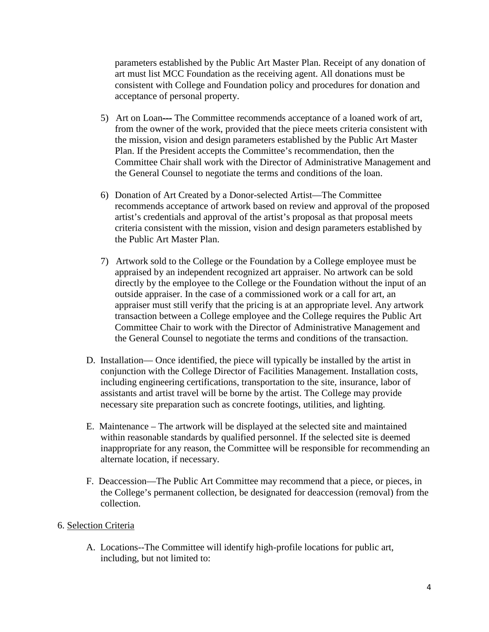parameters established by the Public Art Master Plan. Receipt of any donation of art must list MCC Foundation as the receiving agent. All donations must be consistent with College and Foundation policy and procedures for donation and acceptance of personal property.

- 5) Art on Loan--- The Committee recommends acceptance of a loaned work of art, from the owner of the work, provided that the piece meets criteria consistent with the mission, vision and design parameters established by the Public Art Master Plan. If the President accepts the Committee's recommendation, then the Committee Chair shall work with the Director of Administrative Management and the General Counsel to negotiate the terms and conditions of the loan.
- 6) Donation of Art Created by a Donor-selected Artist—The Committee recommends acceptance of artwork based on review and approval of the proposed artist's credentials and approval of the artist's proposal as that proposal meets criteria consistent with the mission, vision and design parameters established by the Public Art Master Plan.
- 7) Artwork sold to the College or the Foundation by a College employee must be appraised by an independent recognized art appraiser. No artwork can be sold directly by the employee to the College or the Foundation without the input of an outside appraiser. In the case of a commissioned work or a call for art, an appraiser must still verify that the pricing is at an appropriate level. Any artwork transaction between a College employee and the College requires the Public Art Committee Chair to work with the Director of Administrative Management and the General Counsel to negotiate the terms and conditions of the transaction.
- D. Installation— Once identified, the piece will typically be installed by the artist in conjunction with the College Director of Facilities Management. Installation costs, including engineering certifications, transportation to the site, insurance, labor of assistants and artist travel will be borne by the artist. The College may provide necessary site preparation such as concrete footings, utilities, and lighting.
- E. Maintenance The artwork will be displayed at the selected site and maintained within reasonable standards by qualified personnel. If the selected site is deemed inappropriate for any reason, the Committee will be responsible for recommending an alternate location, if necessary.
- F. Deaccession—The Public Art Committee may recommend that a piece, or pieces, in the College's permanent collection, be designated for deaccession (removal) from the collection.

## 6. Selection Criteria

A. Locations--The Committee will identify high-profile locations for public art, including, but not limited to: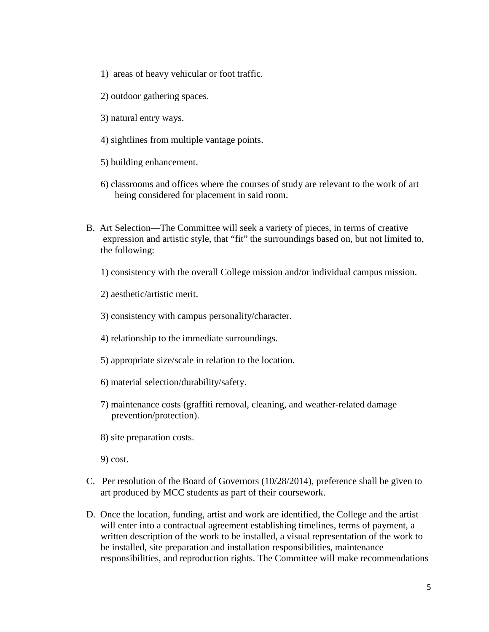- 1) areas of heavy vehicular or foot traffic.
- 2) outdoor gathering spaces.
- 3) natural entry ways.
- 4) sightlines from multiple vantage points.
- 5) building enhancement.
- 6) classrooms and offices where the courses of study are relevant to the work of art being considered for placement in said room.
- B. Art Selection—The Committee will seek a variety of pieces, in terms of creative expression and artistic style, that "fit" the surroundings based on, but not limited to, the following:

1) consistency with the overall College mission and/or individual campus mission.

2) aesthetic/artistic merit.

3) consistency with campus personality/character.

- 4) relationship to the immediate surroundings.
- 5) appropriate size/scale in relation to the location.
- 6) material selection/durability/safety.
- 7) maintenance costs (graffiti removal, cleaning, and weather-related damage prevention/protection).
- 8) site preparation costs.

9) cost.

- C. Per resolution of the Board of Governors (10/28/2014), preference shall be given to art produced by MCC students as part of their coursework.
- D. Once the location, funding, artist and work are identified, the College and the artist will enter into a contractual agreement establishing timelines, terms of payment, a written description of the work to be installed, a visual representation of the work to be installed, site preparation and installation responsibilities, maintenance responsibilities, and reproduction rights. The Committee will make recommendations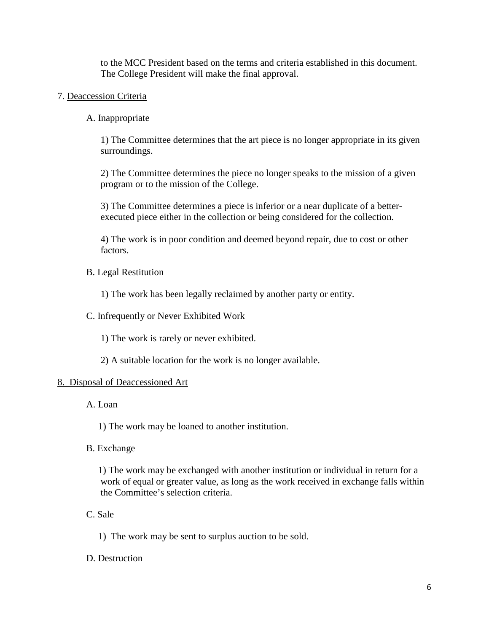to the MCC President based on the terms and criteria established in this document. The College President will make the final approval.

- 7. Deaccession Criteria
	- A. Inappropriate

1) The Committee determines that the art piece is no longer appropriate in its given surroundings.

2) The Committee determines the piece no longer speaks to the mission of a given program or to the mission of the College.

3) The Committee determines a piece is inferior or a near duplicate of a betterexecuted piece either in the collection or being considered for the collection.

4) The work is in poor condition and deemed beyond repair, due to cost or other factors.

B. Legal Restitution

1) The work has been legally reclaimed by another party or entity.

C. Infrequently or Never Exhibited Work

1) The work is rarely or never exhibited.

2) A suitable location for the work is no longer available.

## 8. Disposal of Deaccessioned Art

A. Loan

1) The work may be loaned to another institution.

B. Exchange

 1) The work may be exchanged with another institution or individual in return for a work of equal or greater value, as long as the work received in exchange falls within the Committee's selection criteria.

# C. Sale

1) The work may be sent to surplus auction to be sold.

D. Destruction